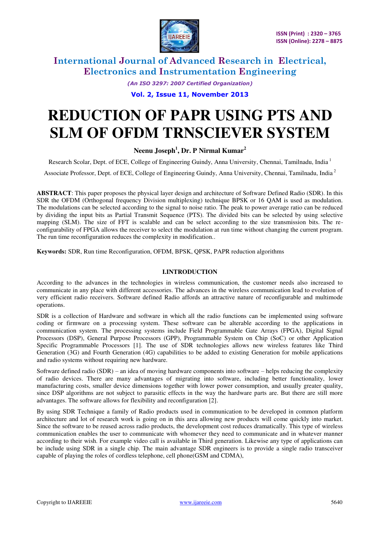

> *(An ISO 3297: 2007 Certified Organization)*  **Vol. 2, Issue 11, November 2013**

# **REDUCTION OF PAPR USING PTS AND SLM OF OFDM TRNSCIEVER SYSTEM**

### **Neenu Joseph<sup>1</sup> , Dr. P Nirmal Kumar<sup>2</sup>**

Research Scolar, Dept. of ECE, College of Engineering Guindy, Anna University, Chennai, Tamilnadu, India<sup>1</sup>

Associate Professor, Dept. of ECE, College of Engineering Guindy, Anna University, Chennai, Tamilnadu, India<sup>2</sup>

**ABSTRACT**: This paper proposes the physical layer design and architecture of Software Defined Radio (SDR). In this SDR the OFDM (Orthogonal frequency Division multiplexing) technique BPSK or 16 QAM is used as modulation. The modulations can be selected according to the signal to noise ratio. The peak to power average ratio can be reduced by dividing the input bits as Partial Transmit Sequence (PTS). The divided bits can be selected by using selective mapping (SLM). The size of FFT is scalable and can be select according to the size transmission bits. The reconfigurability of FPGA allows the receiver to select the modulation at run time without changing the current program. The run time reconfiguration reduces the complexity in modification..

**Keywords:** SDR, Run time Reconfiguration, OFDM, BPSK, QPSK, PAPR reduction algorithms

### **I.INTRODUCTION**

According to the advances in the technologies in wireless communication, the customer needs also increased to communicate in any place with different accessories. The advances in the wireless communication lead to evolution of very efficient radio receivers. Software defined Radio affords an attractive nature of reconfigurable and multimode operations.

SDR is a collection of Hardware and software in which all the radio functions can be implemented using software coding or firmware on a processing system. These software can be alterable according to the applications in communication system. The processing systems include Field Programmable Gate Arrays (FPGA), Digital Signal Processors (DSP), General Purpose Processors (GPP), Programmable System on Chip (SoC) or other Application Specific Programmable Processors [1]. The use of SDR technologies allows new wireless features like Third Generation (3G) and Fourth Generation (4G) capabilities to be added to existing Generation for mobile applications and radio systems without requiring new hardware.

Software defined radio (SDR) – an idea of moving hardware components into software – helps reducing the complexity of radio devices. There are many advantages of migrating into software, including better functionality, lower manufacturing costs, smaller device dimensions together with lower power consumption, and usually greater quality, since DSP algorithms are not subject to parasitic effects in the way the hardware parts are. But there are still more advantages. The software allows for flexibility and reconfiguration [2].

By using SDR Technique a family of Radio products used in communication to be developed in common platform architecture and lot of research work is going on in this area allowing new products will come quickly into market. Since the software to be reused across radio products, the development cost reduces dramatically. This type of wireless communication enables the user to communicate with whomever they need to communicate and in whatever manner according to their wish. For example video call is available in Third generation. Likewise any type of applications can be include using SDR in a single chip. The main advantage SDR engineers is to provide a single radio transceiver capable of playing the roles of cordless telephone, cell phone(GSM and CDMA),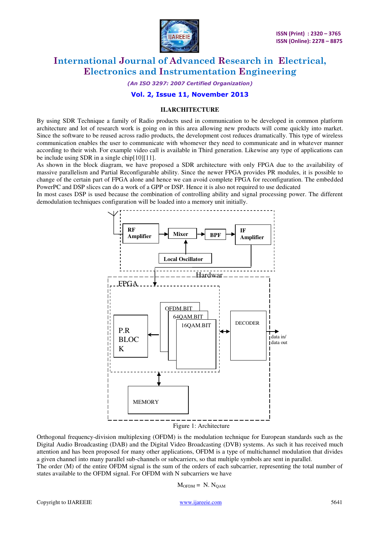

*(An ISO 3297: 2007 Certified Organization)* 

### **Vol. 2, Issue 11, November 2013**

#### **II.ARCHITECTURE**

By using SDR Technique a family of Radio products used in communication to be developed in common platform architecture and lot of research work is going on in this area allowing new products will come quickly into market. Since the software to be reused across radio products, the development cost reduces dramatically. This type of wireless communication enables the user to communicate with whomever they need to communicate and in whatever manner according to their wish. For example video call is available in Third generation. Likewise any type of applications can be include using SDR in a single chip[10][11].

As shown in the block diagram, we have proposed a SDR architecture with only FPGA due to the availability of massive parallelism and Partial Reconfigurable ability. Since the newer FPGA provides PR modules, it is possible to change of the certain part of FPGA alone and hence we can avoid complete FPGA for reconfiguration. The embedded PowerPC and DSP slices can do a work of a GPP or DSP. Hence it is also not required to use dedicated

In most cases DSP is used because the combination of controlling ability and signal processing power. The different demodulation techniques configuration will be loaded into a memory unit initially.



Orthogonal frequency-division multiplexing (OFDM) is the modulation technique for European standards such as the Digital Audio Broadcasting (DAB) and the Digital Video Broadcasting (DVB) systems. As such it has received much attention and has been proposed for many other applications, OFDM is a type of multichannel modulation that divides a given channel into many parallel sub-channels or subcarriers, so that multiple symbols are sent in parallel. The order (M) of the entire OFDM signal is the sum of the orders of each subcarrier, representing the total number of

states available to the OFDM signal. For OFDM with N subcarriers we have

 $M<sub>OFDM</sub> = N. N<sub>OAM</sub>$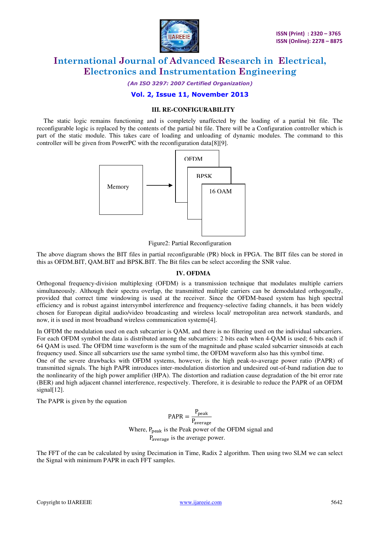

*(An ISO 3297: 2007 Certified Organization)* 

### **Vol. 2, Issue 11, November 2013**

### **III. RE-CONFIGURABILITY**

The static logic remains functioning and is completely unaffected by the loading of a partial bit file. The reconfigurable logic is replaced by the contents of the partial bit file. There will be a Configuration controller which is part of the static module. This takes care of loading and unloading of dynamic modules. The command to this controller will be given from PowerPC with the reconfiguration data[8][9].



Figure2: Partial Reconfiguration

The above diagram shows the BIT files in partial reconfigurable (PR) block in FPGA. The BIT files can be stored in this as OFDM.BIT, QAM.BIT and BPSK.BIT. The Bit files can be select according the SNR value.

#### **IV. OFDMA**

Orthogonal frequency-division multiplexing (OFDM) is a transmission technique that modulates multiple carriers simultaneously. Although their spectra overlap, the transmitted multiple carriers can be demodulated orthogonally, provided that correct time windowing is used at the receiver. Since the OFDM-based system has high spectral efficiency and is robust against intersymbol interference and frequency-selective fading channels, it has been widely chosen for European digital audio/video broadcasting and wireless local/ metropolitan area network standards, and now, it is used in most broadband wireless communication systems[4].

In OFDM the modulation used on each subcarrier is QAM, and there is no filtering used on the individual subcarriers. For each OFDM symbol the data is distributed among the subcarriers: 2 bits each when 4-QAM is used; 6 bits each if 64 QAM is used. The OFDM time waveform is the sum of the magnitude and phase scaled subcarrier sinusoids at each frequency used. Since all subcarriers use the same symbol time, the OFDM waveform also has this symbol time.

One of the severe drawbacks with OFDM systems, however, is the high peak-to-average power ratio (PAPR) of transmitted signals. The high PAPR introduces inter-modulation distortion and undesired out-of-band radiation due to the nonlinearity of the high power amplifier (HPA). The distortion and radiation cause degradation of the bit error rate (BER) and high adjacent channel interference, respectively. Therefore, it is desirable to reduce the PAPR of an OFDM signal[12].

The PAPR is given by the equation

$$
PAPR = \frac{P_{\text{peak}}}{P_{\text{average}}}
$$
  
Where, P<sub>peak</sub> is the Peak power of the OFDM signal and P<sub>average</sub> is the average power.

The FFT of the can be calculated by using Decimation in Time, Radix 2 algorithm. Then using two SLM we can select the Signal with minimum PAPR in each FFT samples.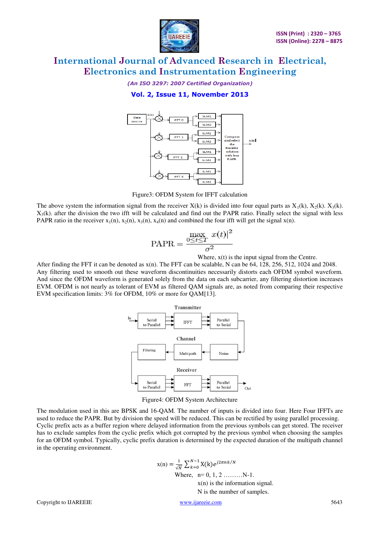

*(An ISO 3297: 2007 Certified Organization)* 

**Vol. 2, Issue 11, November 2013** 



Figure3: OFDM System for IFFT calculation

The above system the information signal from the receiver  $X(k)$  is divided into four equal parts as  $X_1(k)$ ,  $X_2(k)$ .  $X_3(k)$ .  $X_3(k)$ . after the division the two ifft will be calculated and find out the PAPR ratio. Finally select the signal with less PAPR ratio in the receiver  $x_1(n)$ ,  $x_2(n)$ ,  $x_3(n)$ ,  $x_4(n)$  and combined the four ifft will get the signal  $x(n)$ .

$$
\text{PAPR} = \frac{\max_{0 \le t \le T} x(t)|^2}{\sigma^2}
$$

Where,  $x(t)$  is the input signal from the Centre.

After finding the FFT it can be denoted as x(n). The FFT can be scalable, N can be 64, 128, 256, 512, 1024 and 2048. Any filtering used to smooth out these waveform discontinuities necessarily distorts each OFDM symbol waveform. And since the OFDM waveform is generated solely from the data on each subcarrier, any filtering distortion increases EVM. OFDM is not nearly as tolerant of EVM as filtered QAM signals are, as noted from comparing their respective EVM specification limits: 3% for OFDM, 10% or more for QAM[13].



Figure4: OFDM System Architecture

The modulation used in this are BPSK and 16-QAM. The number of inputs is divided into four. Here Four IFFTs are used to reduce the PAPR. But by division the speed will be reduced. This can be rectified by using parallel processing. Cyclic prefix acts as a buffer region where delayed information from the previous symbols can get stored. The receiver has to exclude samples from the cyclic prefix which got corrupted by the previous symbol when choosing the samples for an OFDM symbol. Typically, cyclic prefix duration is determined by the expected duration of the multipath channel in the operating environment.

> $x(n) = \frac{1}{\sqrt{N}} \sum_{k=0}^{N-1} X(k) e^{j2\pi n k/2}$ Where,  $n=0, 1, 2, \ldots, N-1$ . x(n) is the information signal. N is the number of samples.

Copyright to IJAREEIE www.ijareeie.com 5643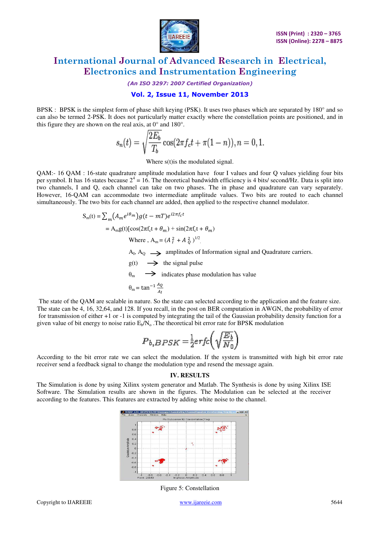

*(An ISO 3297: 2007 Certified Organization)* 

### **Vol. 2, Issue 11, November 2013**

BPSK : BPSK is the simplest form of phase shift keying (PSK). It uses two phases which are separated by 180° and so can also be termed 2-PSK. It does not particularly matter exactly where the constellation points are positioned, and in this figure they are shown on the real axis, at 0° and 180°.

$$
s_n(t) = \sqrt{\frac{2E_b}{T_b}} \cos(2\pi f_c t + \pi (1 - n)), n = 0, 1.
$$

Where s(t)is the modulated signal.

QAM:- 16 QAM : 16-state quadrature amplitude modulation have four I values and four Q values yielding four bits per symbol. It has 16 states because  $2^4 = 16$ . The theoretical bandwidth efficiency is 4 bits/second/Hz. Data is split into two channels, I and Q, each channel can take on two phases. The in phase and quadrature can vary separately. However, 16-QAM can accommodate two intermediate amplitude values. Two bits are routed to each channel simultaneously. The two bits for each channel are added, then applied to the respective channel modulator.

$$
S_m(t) = \sum_m (A_m e^{i\theta_m}) g(t - mT) e^{i2\pi f_C t}
$$
  
= A\_m g(t) [cos(2\pi f\_C t + \theta\_m) + sin(2\pi f\_C t + \theta\_m)  
Where, A\_m = (A\_{I}^{2} + A\_{Q}^{2})^{1/2}.  
A<sub>I</sub>, A<sub>Q</sub>  $\longrightarrow$  amplitudes of Information signal and Quadrature carriers.  
g(t)  $\longrightarrow$  the signal pulse  
 $\theta_m \longrightarrow$  indicates phase modulation has value  
 $\theta_m = \tan^{-1} \frac{A_Q}{A_I}$ 

The state of the QAM are scalable in nature. So the state can selected according to the application and the feature size. The state can be 4, 16, 32,64, and 128. If you recall, in the post on BER computation in AWGN, the probability of error for transmission of either +1 or -1 is computed by integrating the tail of the Gaussian probability density function for a given value of bit energy to noise ratio  $E_b/N_o$ . The theoretical bit error rate for BPSK modulation

$$
P_{b,BPSK} = \frac{1}{2} erfc\left(\sqrt{\frac{E_b}{N_0}}\right)
$$

According to the bit error rate we can select the modulation. If the system is transmitted with high bit error rate receiver send a feedback signal to change the modulation type and resend the message again.

#### **IV. RESULTS**

The Simulation is done by using Xilinx system generator and Matlab. The Synthesis is done by using Xilinx ISE Software. The Simulation results are shown in the figures. The Modulation can be selected at the receiver according to the features. This features are extracted by adding white noise to the channel.



Figure 5: Constellation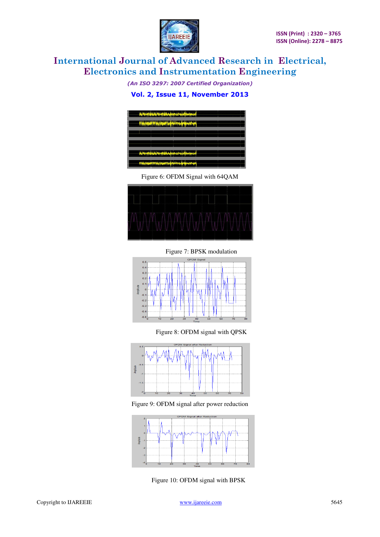

*(An ISO 3297: 2007 Certified Organization)*  **Vol. 2, Issue 11, November 2013** 



Figure 6: OFDM Signal with 64QAM





Figure 8: OFDM signal with QPSK



Figure 9: OFDM signal after power reduction



Figure 10: OFDM signal with BPSK